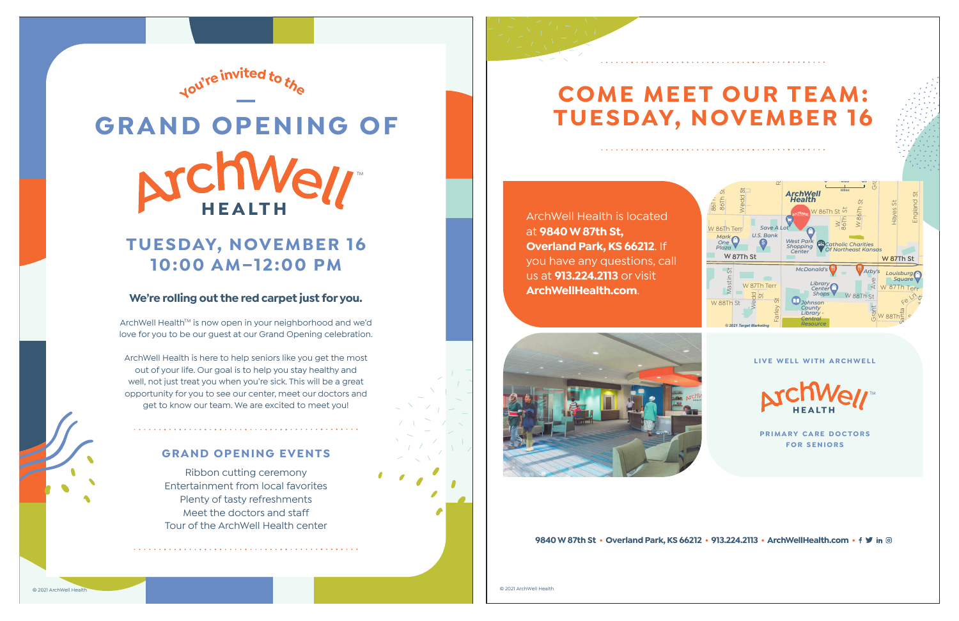

© 2021 ArchWell Health

# **GRAND OPENING OFCHW** TM

## **TUESDAY, NOVEMBER 16 10:00 AM–12:00 PM**

### **We're rolling out the red carpet just for you.**

ArchWell Health™ is now open in your neighborhood and we'd love for you to be our guest at our Grand Opening celebration.

ArchWell Health is here to help seniors like you get the most out of your life. Our goal is to help you stay healthy and well, not just treat you when you're sick. This will be a great opportunity for you to see our center, meet our doctors and get to know our team. We are excited to meet you!

### **GRAND OPENING EVENTS**

Ribbon cutting ceremony Entertainment from local favorites Plenty of tasty refreshments Meet the doctors and staffTour of the ArchWell Health center